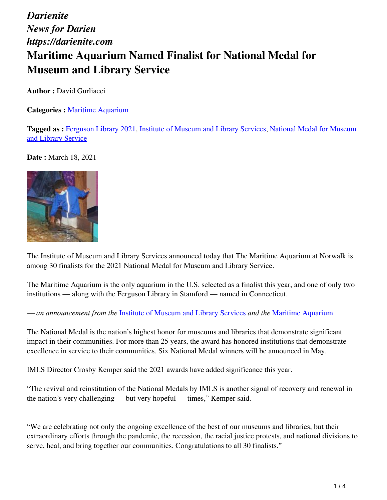*Darienite News for Darien https://darienite.com* **Maritime Aquarium Named Finalist for National Medal for Museum and Library Service**

**Author :** David Gurliacci

**Categories :** [Maritime Aquarium](https://darienite.com/category/maritime-aquarium)

**Tagged as :** Ferguson Library 2021, Institute of Museum and Library Services, National Medal for Museum and Library Service

**Date :** March 18, 2021



The Institute of Museum and Library Services announced today that The Maritime Aquarium at Norwalk is among 30 finalists for the 2021 National Medal for Museum and Library Service.

The Maritime Aquarium is the only aquarium in the U.S. selected as a finalist this year, and one of only two institutions — along with the Ferguson Library in Stamford — named in Connecticut.

*— an announcement from the* Institute of Museum and Library Services *and the* Maritime Aquarium

The National Medal is the nation's highest honor for museums and libraries that demonstrate significant impact in their communities. For more than 25 years, the award has honored institutions that demonstrate excellence in service to their communities. Six National Medal winners will be announced in May.

IMLS Director Crosby Kemper said the 2021 awards have added significance this year.

"The revival and reinstitution of the National Medals by IMLS is another signal of recovery and renewal in the nation's very challenging — but very hopeful — times," Kemper said.

"We are celebrating not only the ongoing excellence of the best of our museums and libraries, but their extraordinary efforts through the pandemic, the recession, the racial justice protests, and national divisions to serve, heal, and bring together our communities. Congratulations to all 30 finalists."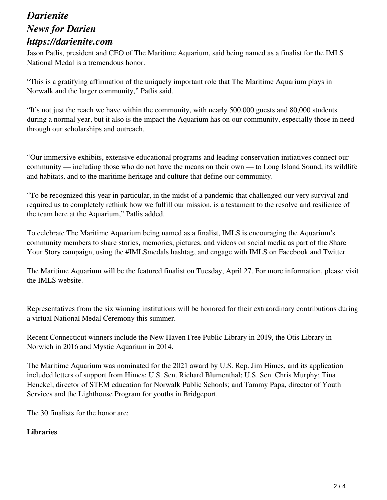# *Darienite News for Darien https://darienite.com*

Jason Patlis, president and CEO of The Maritime Aquarium, said being named as a finalist for the IMLS National Medal is a tremendous honor.

"This is a gratifying affirmation of the uniquely important role that The Maritime Aquarium plays in Norwalk and the larger community," Patlis said.

"It's not just the reach we have within the community, with nearly 500,000 guests and 80,000 students during a normal year, but it also is the impact the Aquarium has on our community, especially those in need through our scholarships and outreach.

"Our immersive exhibits, extensive educational programs and leading conservation initiatives connect our community — including those who do not have the means on their own — to Long Island Sound, its wildlife and habitats, and to the maritime heritage and culture that define our community.

"To be recognized this year in particular, in the midst of a pandemic that challenged our very survival and required us to completely rethink how we fulfill our mission, is a testament to the resolve and resilience of the team here at the Aquarium," Patlis added.

To celebrate The Maritime Aquarium being named as a finalist, IMLS is encouraging the Aquarium's community members to share stories, memories, pictures, and videos on social media as part of the Share Your Story campaign, using the #IMLSmedals hashtag, and engage with IMLS on Facebook and Twitter.

The Maritime Aquarium will be the featured finalist on Tuesday, April 27. For more information, please visit the IMLS website.

Representatives from the six winning institutions will be honored for their extraordinary contributions during a virtual National Medal Ceremony this summer.

Recent Connecticut winners include the New Haven Free Public Library in 2019, the Otis Library in Norwich in 2016 and Mystic Aquarium in 2014.

The Maritime Aquarium was nominated for the 2021 award by U.S. Rep. Jim Himes, and its application included letters of support from Himes; U.S. Sen. Richard Blumenthal; U.S. Sen. Chris Murphy; Tina Henckel, director of STEM education for Norwalk Public Schools; and Tammy Papa, director of Youth Services and the Lighthouse Program for youths in Bridgeport.

The 30 finalists for the honor are:

### **Libraries**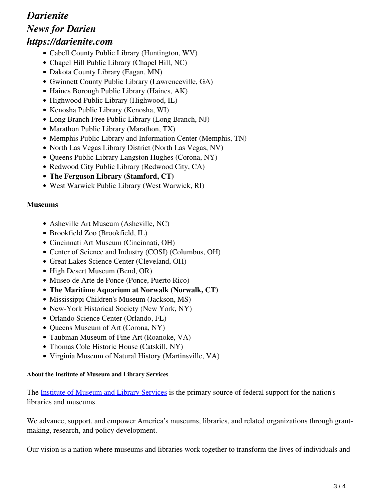# *Darienite News for Darien https://darienite.com*

- Cabell County Public Library (Huntington, WV)
- Chapel Hill Public Library (Chapel Hill, NC)
- Dakota County Library (Eagan, MN)
- Gwinnett County Public Library (Lawrenceville, GA)
- Haines Borough Public Library (Haines, AK)
- Highwood Public Library (Highwood, IL)
- Kenosha Public Library (Kenosha, WI)
- Long Branch Free Public Library (Long Branch, NJ)
- Marathon Public Library (Marathon, TX)
- Memphis Public Library and Information Center (Memphis, TN)
- North Las Vegas Library District (North Las Vegas, NV)
- Queens Public Library Langston Hughes (Corona, NY)
- Redwood City Public Library (Redwood City, CA)
- **The Ferguson Library (Stamford, CT)**
- West Warwick Public Library (West Warwick, RI)

### **Museums**

- Asheville Art Museum (Asheville, NC)
- Brookfield Zoo (Brookfield, IL)
- Cincinnati Art Museum (Cincinnati, OH)
- Center of Science and Industry (COSI) (Columbus, OH)
- Great Lakes Science Center (Cleveland, OH)
- High Desert Museum (Bend, OR)
- Museo de Arte de Ponce (Ponce, Puerto Rico)
- **The Maritime Aquarium at Norwalk (Norwalk, CT)**
- Mississippi Children's Museum (Jackson, MS)
- New-York Historical Society (New York, NY)
- Orlando Science Center (Orlando, FL)
- Queens Museum of Art (Corona, NY)
- Taubman Museum of Fine Art (Roanoke, VA)
- Thomas Cole Historic House (Catskill, NY)
- Virginia Museum of Natural History (Martinsville, VA)

#### **About the Institute of Museum and Library Services**

The Institute of Museum and Library Services is the primary source of federal support for the nation's libraries and museums.

We advance, support, and empower America's museums, libraries, and related organizations through grantmaking, research, and policy development.

Our vision is a nation where museums and libraries work together to transform the lives of individuals and